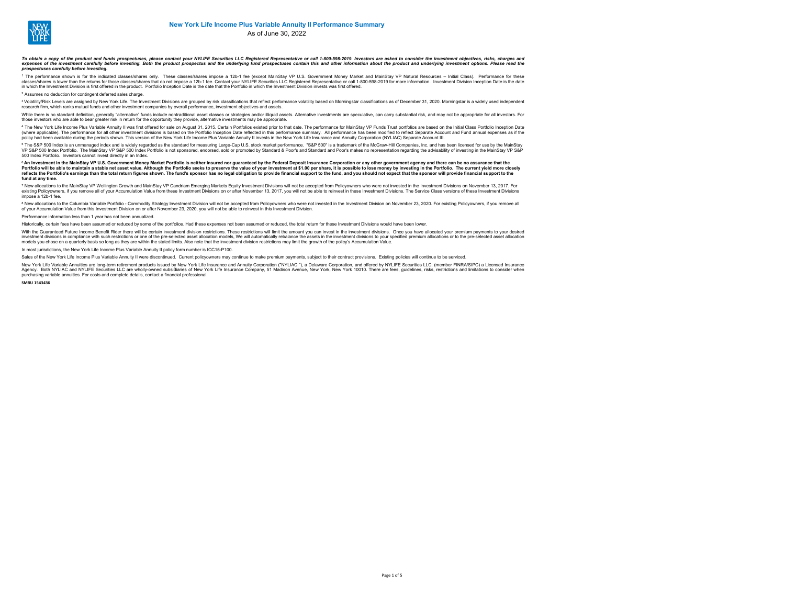

As of June 30, 2022

### To obtain a copy of the product and funds prospectuses, please contact your NYLIFE Securities LLC Registered Representative or call 1-800-598-2019. Investors are asked to consider the investment opicives, risks, charges an *prospectuses carefully before investing.*

<sup>1</sup> The performance shown is for the indicated classes/shares only. These classes/shares impose a 12b-1 fee (except MainStay VP U.S. Government Money Market and MainStay VP Natural Resources – Initial Cassual States (herfo in which the Investment Division is first offered in the product. Portfolio Inception Date is the date that the Portfolio in which the Investment Division invests was first offered.

<sup>2</sup> Assumes no deduction for contingent deferred sales charge.

<sup>3</sup> Volatility/Risk Levels are assigned by New York Life. The Investment Divisions are grouped by risk classifications that reflect performance volatility based on Morningstar classifications as of December 31, 2020. Morni research firm, which ranks mutual funds and other investment companies by overall performance, investment objectives and assets.

While there is no standard definition, concretive "alternative" funds include nontraditional seced desses or strategies and/or illiquid secels. Alternative investments are eneculative, can carry substantial risk, and may n those investors who are able to bear greater risk in return for the opportunity they provide, alternative investments may be appropriate.

4 The New York Life Income Plus Variable Annulty II was first offered for sale on August 31, 2015. Certain Portfolios existed in prior to that date. The performance or only all performance summary. All performance has been policy had been available during the periods shown. This version of the New York Life Income Plus Variable Annuity II invests in the New York Life Insurance and Annuity Corporation (NYLIAC) Separate Account III.

° The S&P 500 Index is an unmanaged index and is widely regarded as the standard for measuring Large-Cap U.S. stock market performance. "S&P 500" is a trademark of the MacStaw-Hill Companies, inc. and has been lice paids 500 Index Portfolio. Investors cannot invest directly in an Index.

<sup>6</sup> An Investment in the MainStay VP U.S. Government Money Market Portfolio is neither insured nor guaranteed by the Federal Deposit Insurance Corporation or any other government agency and there can be no assurance that t Portfolio will be able to maintain a stable net asset value. Although the Portfolio seks to preserve the value of your investment at \$1.00 per share, it is possible to lose money by investing in the Portfolio. The current **fund at any time.**

7 New allocations to the MainStay VP Wellington Growth and MainStay VP Candrian Emerging Markets Equity Investment Divisions will not be accepted from Policyowners who were not investment Divisions on the Investment Divisi impose a 12b-1 fee.

\* New allocations to the Columbia Variable Portfolio - Commodity Strategy investment Division will not be accepted from Policyowners who were not invested in the Investment Division on November 23, 2020. For existing Polic

Performance information less than 1 year has not been annualized.

Historically, certain fees have been assumed or reduced by some of the portfolios. Had these expenses not been assumed or reduced, the total return for these Investment Divisions would have been lower

With the Guaranteed Future Income Benefit Rider there will be certain investment division restrictions. These restrictions will limit the amount you can invest in the investment divisions. Once you have allocated your prem mestimal income contract when the pre-selected asset allocation models. We will automatically rebaince the assets in the investment divisions to your specified premium allocations or or the pre-selected asset allocation co models you chose on a quarterly basis so long as they are within the stated limits. Also note that the investment division restrictions may limit the growth of the policy's Accumulation Value.

In most jurisdictions, the New York Life Income Plus Variable Annuity II policy form number is ICC15-P100.

Sales of the New York Life Income Plus Variable Annuity II were discontinued. Current policyowners may continue to make premium payments, subject to their contract provisions. Existing policies will continue to be serviced

New York Life Variable Annuities are long-term retirement products issued by New York Life Insurance and Annuity Corporation ("NYLIAC "), a Delaware Corporation, and offered by NYLIFE Securities LLC. (member FINRA/SIPC) a new for Early Apple House and the present requirement products issued by wew functions and which compared the main of the present of the New York. Depertment the second of the particle is and the interest of New York 10010 purchasing variable annuities. For costs and complete details, contact a financial professional.

**SMRU 1543436**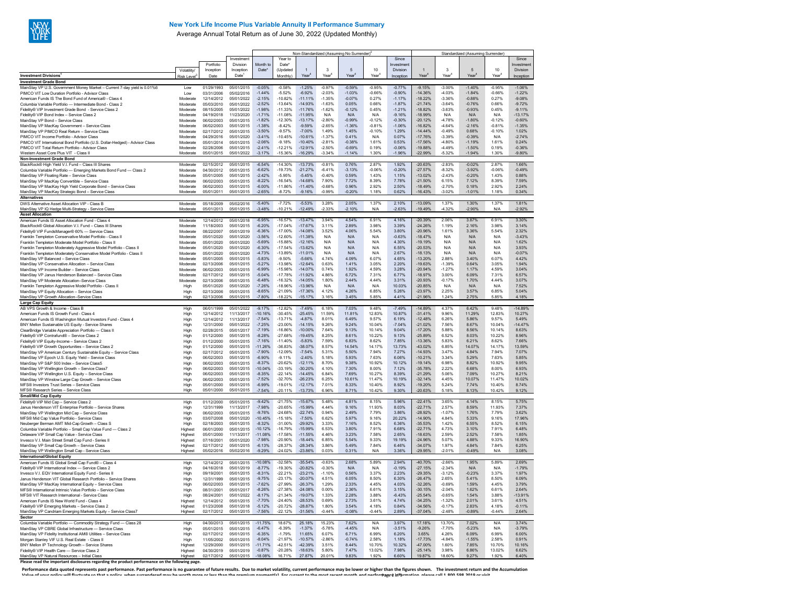

## **New York Life Income Plus Variable Annuity II Performance Summary**

Average Annual Total Return as of June 30, 2022 (Updated Monthly)

|                                                                                                                               |                      |                          |                          | Non-Standardized (Assuming No Surrender) <sup>2</sup> |                        |                        |                      |                      |                      |                       | Standardized (Assuming Surrender) |                      |                      |                      |                       |
|-------------------------------------------------------------------------------------------------------------------------------|----------------------|--------------------------|--------------------------|-------------------------------------------------------|------------------------|------------------------|----------------------|----------------------|----------------------|-----------------------|-----------------------------------|----------------------|----------------------|----------------------|-----------------------|
|                                                                                                                               |                      |                          | Investment               |                                                       | Year to                |                        |                      |                      |                      | Since                 |                                   |                      |                      |                      | Since                 |
|                                                                                                                               | Volatility/          | Portfolio<br>Inception   | Division<br>Inception    | Month to<br>Date*                                     | Date*<br>Updated       |                        | 3                    | $\sqrt{5}$           | 10                   | Investmen<br>Division |                                   | 3                    | 5                    | 10                   | nvestmen<br>Division  |
| <b>Investment Divisions<sup>1</sup></b>                                                                                       | <b>Risk Level</b>    | Date                     | Date <sup>®</sup>        |                                                       | Monthly                | Year                   | Year                 | Year <sup>4</sup>    | Year                 | Inception             | Year                              | Year                 | Year                 | Year                 | Inception             |
| <b>Investment Grade Bond</b>                                                                                                  |                      |                          |                          |                                                       |                        |                        |                      |                      |                      |                       |                                   |                      |                      |                      |                       |
| MainStay VP U.S. Government Money Market - Current 7-day yield is 0.01%6<br>PIMCO VIT Low Duration Portfolio - Advisor Class  | Low<br>Low           | 01/29/1993<br>03/31/2006 | 05/01/2015<br>05/02/2016 | $-0.05%$<br>$-1.44%$                                  | $-0.58%$<br>$-5.52%$   | $-1.25%$<br>$-6.92%$   | $-0.97%$<br>$-2.03%$ | $-0.59%$<br>$-1.03%$ | $-0.95%$<br>$-0.66%$ | $-0.77%$<br>$-0.90%$  | $-9.15%$<br>$-14.36%$             | $-3.00%$<br>$-403%$  | $-1.40%$<br>$-1.84%$ | $-0.95%$<br>$-0.66%$ | $-1.06%$<br>$-122%$   |
| American Funds IS The Bond Fund of America® - Class 4                                                                         | Moderate             | 12/14/2012               | 05/01/2022               | $-2.15%$                                              | $-10.82%$              | $-11.11%$              | $-1.35%$             | $-0.07%$             | 0.27%                | $-1.17%$              | $-18.22%$                         | $-3.36%$             | $-0.88%$             | 0.27%                | $-9.08%$              |
| Columbia Variable Portfolio - Intermediate Bond - Class 2                                                                     | Moderate             | 05/03/2010               | 05/01/2022               | $-2.52%$                                              | $-13.64%$              | $-14.93%$              | $-1.63%$             | 0.05%                | 0.66%                | $-1.87%$              | $-21.74%$                         | $-3.64%$             | $-0.76%$             | 0.66%                | $-9.72%$              |
| Fidelitv® VIP Investment Grade Bond - Service Class 2<br>Fidelitv® VIP Bond Index - Service Class 2                           | Moderate<br>Moderate | 08/15/2005<br>04/19/2018 | 05/01/2022<br>11/23/2020 | $-1.98%$<br>$-1.71%$                                  | $-11.33%$<br>$-11.08%$ | $-11.76%$<br>$-11.95%$ | $-1.62%$<br>N/A      | $-0.12%$<br>N/A      | 0.45%<br>N/A         | $-1.21%$<br>$-9.16%$  | $-18.82%$<br>$-18.99%$            | $-3.63%$<br>N/A      | $-0.93%$<br>N/A      | 0.45%<br>N/A         | $-9.11%$<br>$-13.17%$ |
| MainStay VP Bond - Service Class                                                                                              | Moderate             | 06/02/2003               | 05/01/2015               | $-1.82%$                                              | $-12.30%$              | $-13.17%$              | $-2.80%$             | $-0.99%$             | $-0.12%$             | $-0.30%$              | $-20.12%$                         | $-4.78%$             | $-1.80%$             | $-0.12%$             | $-0.60%$              |
| MainStay VP MacKay Government - Service Class                                                                                 | Moderate             | 06/02/2003               | 05/01/2015               | $-1.38%$                                              | $-8.42%$               | $-9.59%$               | $-2.65%$             | $-1.36%$             | $-0.81%$             | $-1.06%$              | 16.82%                            | $-4.64%$             | $-2.16%$             | $-0.81%$             | $-1.35%$              |
| MainStay VP PIMCO Real Return - Service Class<br>PIMCO VIT Income Portfolio - Advisor Class                                   | Moderate<br>Moderate | 02/17/2012<br>04/29/2016 | 05/01/2015<br>05/01/2020 | $-3.50%$<br>$-3.41%$                                  | $-9.57%$<br>$-10.45%$  | $-7.00%$<br>$-10.61%$  | 1.49%<br>$-1.37%$    | 1.45%<br>0.41%       | $-0.10%$<br>N/A      | 1.29%<br>0.07%        | 14.44%<br>$-17.76%$               | $-0.49%$<br>$-3.39%$ | 0.68%<br>$-0.39%$    | $-0.10%$<br>N/A      | 1.02%<br>$-2.74%$     |
| PIMCO VIT International Bond Portfolio (U.S. Dollar-Hedged) - Advisor Class                                                   | Moderate             | 05/01/2014               | 05/01/2015               | $-2.06%$                                              | $-9.18%$               | $-10.40%$              | $-281%$              | $-0.38%$             | 1.61%                | 0.53%                 | $-17.56%$                         | $-480%$              | $-1.19%$             | 161%                 | 0.24%                 |
| PIMCO VIT Total Return Portfolio - Advisor Class                                                                              | Moderate             | 02/28/2006               | 05/01/2015               | $-2.41%$                                              | $-12.21%$              | $-12.91%$              | $-2.50%$             | $-0.69%$             | 0.19%                | $-0.06%$              | $-19.88%$                         | $-4.49%$             | $-1.50%$             | 0.19%                | $-0.36%$              |
| Western Asset Core Plus VIT - Class I<br><b>Non-Investment Grade Bond</b>                                                     | Moderate             | 05/01/2015               | 05/01/2022               | $-3.17%$                                              | $-15.36%$              | 16.299                 | 3.34%                | $-1.14%$             | 1.30%                | 1.96%                 | -22.99%                           | $-5.32%$             | $-1.94%$             | 1.30%                | 9.80%                 |
| BlackRock® High Yield V.I. Fund - Class III Shares                                                                            | Moderate             | 02/15/2012               | 05/01/2015               | $-6.54%$                                              | $-14.30%$              | $-13.73%$              | $-0.81%$             | 0.76%                | 2.87%                | 1.92%                 | $-20.63%$                         | $-2.83%$             | $-0.02%$             | 2.87%                | 1.66%                 |
| Columbia Variable Portfolio - Emerging Markets Bond Fund - Class 2                                                            | Moderate             | 04/30/2012               | 05/01/2015               | $-6.62%$                                              | $-19.73%$              | $-21.27%$              | $-6.41%$             | $-3.13%$             | $-0.06%$             | $-0.20%$              | $-27.57%$                         | $-8.32%$             | $-3.92%$             | $-0.06%$             | $-0.49%$              |
| MainStay VP Floating Rate - Service Class<br>MainStay VP MacKay Convertible - Service Class                                   | Moderate<br>Moderate | 05/01/2005<br>06/02/2003 | 05/01/2015<br>05/01/2015 | $-2.42%$<br>$-8.22%$                                  | $-5.95%$<br>$-16.54%$  | $-5.45%$<br>$-14.68%$  | $-0.40%$<br>7.90%    | 0.59%<br>7.72%       | 1.43%<br>8.39%       | 1.15%<br>7.78%        | $-13.02%$<br>$-21.50%$            | $-2.43%$<br>6.15%    | $-0.20%$<br>7.12%    | 1.43%<br>8.39%       | 0.88%<br>7.59%        |
| MainStay VP MacKay High Yield Corporate Bond - Service Class                                                                  | Moderate             | 06/02/2003               | 05/01/2015               | $-6.00%$                                              | $-11.86%$              | $-1140%$               | $-0.68%$             | 0.96%                | 2.92%                | 2.50%                 | $-1849%$                          | $-270%$              | 0 18%                | 2.92%                | 2.24%                 |
| MainStay VP MacKay Strategic Bond - Service Class                                                                             | Moderate             | 05/01/2011               | 05/01/2015               | $-2.65%$                                              | $-8.72%$               | $-9.16%$               | $-0.99%$             | $-0.20%$             | 1.18%                | 0.62%                 | $-16.43%$                         | $-3.02%$             | $-1.01%$             | 1.18%                | 0.34%                 |
| <b>Alternatives</b><br>DWS Alternative Asset Allocation VIP - Class B                                                         | Moderate             | 05/18/2009               | 05/02/2016               | $-5.40%$                                              | $-7.72%$               | $-5.53%$               | 3.28%                | 2.05%                | 1.37%                | 2.10%                 | $-13.09%$                         | 1.37%                | 1.30%                | 1.37%                | 1.81%                 |
| MainStay VP IQ Hedge Multi-Strategy - Service Class                                                                           | Moderate             | 05/01/2013               | 05/01/2015               | $-3.48%$                                              | $-10.21%$              | $-12.49%$              | $-2.33%$             | $-2.10%$             | N/A                  | $-2.63%$              | $-19.49%$                         | -4.32%               | $-2.90%$             | N/A                  | $-2.92%$              |
| <b>Asset Allocation</b>                                                                                                       |                      |                          |                          |                                                       |                        |                        |                      |                      |                      |                       |                                   |                      |                      |                      |                       |
| American Funds IS Asset Allocation Fund - Class 4<br>BlackRock® Global Allocation V.I. Fund - Class III Shares                | Moderate<br>Moderate | 12/14/2012<br>11/18/2003 | 05/01/2018<br>05/01/2015 | $-6.95%$<br>$-6.20%$                                  | $-16.57%$<br>$-17.04%$ | $-13.47%$<br>$-17.67%$ | 3.94%<br>3.11%       | 4.54%<br>2.89%       | 6.91%<br>3.98%       | 4.16%<br>3.39%        | $-20.39%$<br>$-24.26%$            | 2.06%<br>1.19%       | 3.87%<br>2.16%       | 6.91%<br>3.98%       | 3.30%<br>3.14%        |
| Fidelity® VIP FundsManager® 60% - Service Class                                                                               | Moderate             | 08/22/2007               | 05/01/2019               | $-6.36%$                                              | $-17.00%$              | $-14.08%$              | 3.52%                | 4.06%                | 5.54%                | 3.80%                 | -20.96%                           | 1.61%                | 3.36%                | 5.54%                | 2.32%                 |
| Franklin Templeton Conservative Model Portfolio - Class II                                                                    | Moderate             | 05/01/2020               | 05/01/2020               | $-3.56%$                                              | $-12.60%$              | $-11.38%$              | N/A                  | N/A                  | N/A                  | $-0.63%$              | $-18.47%$                         | N/A                  | N/A                  | N/A                  | $-3.43%$              |
| Franklin Templeton Moderate Model Portfolio - Class II<br>Franklin Templeton Moderately Aggressive Model Portfolio - Class II | Moderate<br>Moderate | 05/01/2020<br>05/01/2020 | 05/01/2020<br>05/01/2020 | $-5.69%$<br>$-6.30%$                                  | $-15.88%$<br>$-17.54%$ | $-12.16%$<br>$-13.62%$ | N/A<br>N/A           | N/A<br>N/A           | N/A<br>N/A           | 4.30%<br>6.55%        | $-19.19%$<br>$-20.53%$            | N/A<br>N/A           | N/A<br>N/A           | N/A<br>N/A           | 1.62%<br>3.93%        |
| Franklin Templeton Moderately Conservative Model Portfolio - Class II                                                         | Moderate             | 05/01/2020               | 05/01/2020               | -4.73%                                                | $-13.89%$              | $-11.01%$              | N/A                  | N/A                  | N/A                  | 2.67%                 | $-18.13%$                         | N/A                  | N/A                  | N/A                  | $-0.07%$              |
| MainStay VP Balanced - Service Class                                                                                          | Moderate             | 05/01/2005               | 05/01/2015               | $-5.83%$                                              | $-9.50%$               | $-5.66%$               | 4.74%                | 4.09%                | 6.07%                | 4.65%                 | $-13.20%$                         | 2.88%                | 3.40%                | 6.07%                | 4.42%                 |
| MainStay VP Conservative Allocation - Service Class<br>MainStav VP Income Builder - Service Class                             | Moderate<br>Moderate | 02/13/2006<br>06/02/2003 | 05/01/2015<br>05/01/2015 | $-5.27%$<br>$-6.99%$                                  | $-13.98%$<br>$-15.98%$ | $-12.64%$<br>$-14.07%$ | 0.63%<br>0.74%       | 1.41%<br>1.92%       | 3.05%<br>4.59%       | 2.20%<br>3.28%        | $-19.63%$<br>$-20.94%$            | $-1.39%$<br>$-1.27%$ | 0.64%<br>1.17%       | 3.05%<br>4 59%       | 1.94%<br>3.04%        |
| MainStay VP Janus Henderson Balanced - Service Class                                                                          | Moderate             | 02/17/2012               | 05/01/2015               | $-5.04%$                                              | $-1778%$               | $-11.92%$              | 4 86%                | 672%                 | 7 3 1%               | 6 7 7%                | $-18.97%$                         | 3.00%                | 6.09%                | 7 3 1 %              | 6.57%                 |
| MainStay VP Moderate Allocation-Service Class                                                                                 | Moderate             | 02/13/2006               | 05/01/2015               | $-6.48%$                                              | $-16.32%$              | $-14.05%$              | 180%                 | 2.44%                | 4.44%                | 3.31%                 | $-20.93%$                         | $-0.17%$             | 1.70%                | 4.44%                | 3.07%                 |
| Franklin Templeton Aggressive Model Portfolio - Class II<br>MainStav VP Equity Allocation - Service Class                     | High<br>High         | 05/01/2020<br>02/13/2006 | 05/01/2020<br>05/01/2015 | $-7.26%$<br>$-8.65%$                                  | $-18.96%$<br>$-21.09%$ | $-13.96%$<br>$-17.36%$ | N/A<br>4.12%         | N/A<br>4.26%         | N/A<br>6.85%         | 10.03%<br>5.26%       | $-20.85%$<br>$-23.97%$            | N/A<br>2.25%         | N/A<br>3.57%         | N/A<br>6.85%         | 7.52%<br>5.04%        |
| MainStay VP Growth Allocation-Service Class                                                                                   | High                 | 02/13/2006               | 05/01/2015               | $-7.80%$                                              | $-18.22%$              | $-15.17%$              | 3.16%                | 3.45%                | 5.85%                | 4.41%                 | -21.96%                           | 1.24%                | 2.75%                | 5.85%                | 4.18%                 |
| Large Cap Equity                                                                                                              |                      |                          |                          |                                                       |                        |                        |                      |                      |                      |                       |                                   |                      |                      |                      |                       |
| AB VPS Growth & Income - Class B<br>American Funds IS Growth Fund - Class 4                                                   | High<br>High         | 06/01/1999<br>12/14/2012 | 05/01/2022<br>11/13/2017 | $-9.17%$<br>-10.16%                                   | $-12.82%$<br>$-30.45%$ | $-7.49%$<br>$-25.45%$  | 6.18%<br>11.59%      | 7.03%<br>11.81%      | 9.48%<br>12.83%      | $-7.49%$<br>10.87%    | -14.89%<br>$-31.41%$              | 4.37%<br>9.96%       | 6.42%<br>11.29%      | 9.48%<br>12.83%      | 14.89%<br>10.27%      |
| American Funds IS Washington Mutual Investors Fund - Class 4                                                                  | High                 | 12/14/2012               | 11/13/2017               | $-7.54%$                                              | $-1371%$               | $-4.87%$               | 8.01%                | 649%                 | 9.57%                | 6 19%                 | $-1248%$                          | 6.26%                | 586%                 | 9.57%                | 549%                  |
| BNY Mellon Sustainable US Equity - Service Shares                                                                             | High                 | 12/31/2000               | 05/01/2022               | $-7.25%$                                              | $-23.00%$              | $-14.15%$              | 9.26%                | 9.24%                | 10.04%               | $-7.04%$              | $-21.02%$                         | 7.56%                | 8.67%                | 10.04%               | $-14.47%$             |
| ClearBridge Variable Appreciation Portfolio - Class II<br>Fidelitv® VIP Contrafund® - Service Class 2                         | High<br>High         | 02/28/2015<br>01/12/2000 | 05/01/2017<br>05/01/2015 | $-7.19%$<br>$-8.28%$                                  | $-16.86%$<br>$-27.68%$ | $-10.00%$<br>$-19.45%$ | 7.64%<br>8.25%       | 9.13%<br>8.61%       | 10.14%<br>10.22%     | 9.04%<br>9.13%        | $-17.20%$<br>$-25.89%$            | 5.88%<br>6.52%       | 8.56%<br>8.03%       | 10.14%<br>10.22%     | 8.63%<br>8.96%        |
| Fidelitv® VIP Equity-Income - Service Class 2                                                                                 | High                 | 01/12/2000               | 05/01/2015               | $-7.16%$                                              | $-11.40%$              | $-5.83%$               | 7.59%                | 6.83%                | 8.62%                | 7.85%                 | $-13.36%$                         | 5.83%                | 6.21%                | 8.62%                | 7.66%                 |
| Fidelity® VIP Growth Opportunities - Service Class 2                                                                          | High                 | 01/12/2000               | 05/01/2015               | $-11.26%$                                             | $-3683%$               | $-38.07%$              | 8.57%                | 14 54%               | 14.17%               | 13.73%                | $-43.02%$                         | 685%                 | 14 07%               | 14 17%               | 13.59%                |
| MainStay VP American Century Sustainable Equity - Service Class<br>MainStay VP Epoch U.S. Equity Yield - Service Class        | High                 | 02/17/2012<br>06/02/2003 | 05/01/2015<br>05/01/2015 | $-7.90%$<br>$-6.90%$                                  | $-12.09%$<br>$-9.11%$  | $-7.54%$<br>$-2.40%$   | 5.31%<br>5.18%       | 5.50%<br>5.93%       | 7.94%<br>7.63%       | 7.27%<br>6.06%        | $-14.93%$<br>10.21%               | 3.47%<br>3.34%       | 4.84%<br>5.29%       | 7.94%<br>7.63%       | 7.07%<br>5.85%        |
| MainStay VP S&P 500 Index - Service Class5                                                                                    | High<br>High         | 06/02/2003               | 05/01/2015               | $-8.37%$                                              | $-20.62%$              | $-12.11%$              | 8.70%                | 9.38%                | 10.92%               | 10.12%                | $-19.14%$                         | 6.98%                | 8.82%                | 10.92%               | 9.95%                 |
| MainStay VP Wellington Growth - Service Class7                                                                                | High                 | 06/02/2003               | 05/01/2015               | $-10.04%$                                             | $-33.19%$              | $-30.20%$              | 4 10%                | 7.30%                | 8.00%                | 7 1 2%                | $-3578%$                          | 222%                 | 6.68%                | 8.00%                | 6.93%                 |
| MainStay VP Wellington U.S. Equity - Service Class                                                                            | High                 | 06/02/2003               | 05/01/2015               | $-8.35%$                                              | $-22.14%$              | $-1445%$               | 684%                 | 769%                 | 10.27%               | 8.39%                 | $-21.29%$                         | 5.06%<br>4.45%       | 7 0 9%               | 10 27%               | 8 2 1%                |
| MainStay VP Winslow Large Cap Growth - Service Class<br>MFS® Investors Trust Series - Service Class                           | High<br>High         | 06/02/2003<br>05/01/2000 | 05/01/2015<br>05/01/2015 | $-7.52%$<br>$-6.99%$                                  | $-32.70%$<br>$-19.01%$ | $-26.23%$<br>$-12.17%$ | 6.25%<br>7.01%       | 10.61%<br>8.33%      | 11.47%<br>10.40%     | 10.19%<br>8.92%       | $-32.14%$<br>$-19.20%$            | 5.24%                | 10.07%<br>7.74%      | 11.47%<br>10.40%     | 10.02%<br>8.74%       |
| MFS® Research Series - Service Class                                                                                          | High                 | 05/01/2000               | 05/01/2015               | $-7.54%$                                              | $-20.11%$              | $-13.73%$              | 6.96%                | 8.71%                | 10.42%               | 9.30%                 | -20.63%                           | 5.18%                | 8.13%                | 10.42%               | 9.12%                 |
| <b>Small/Mid Cap Equity</b>                                                                                                   |                      | 01/12/2000               | 05/01/2015               | $-9.42%$                                              | $-21.75%$              | 15.67%                 | 5.48%                | 4.81%                | 8.15%                | 5.96%                 | $-22.41%$                         | 3.65%                | 4.14%                | 8.15%                | 5.75%                 |
| Fidelity® VIP Mid Cap - Service Class 2<br>Janus Henderson VIT Enterprise Portfolio - Service Shares                          | High<br>High         | 12/31/1999               | 11/13/2017               | $-7.98%$                                              | $-20.65%$              | $-15.99%$              | 4 4 4 %              | 9.16%                | 11.93%               | 8.03%                 | $-22.71%$                         | 2.57%                | 8.59%                | 11.93%               | 7.37%                 |
| MainStav VP Wellington Mid Cap - Service Class                                                                                | High                 | 06/02/2003               | 05/01/2015               | $-9.76%$                                              | $-2468%$               | $-2274%$               | 0.94%                | 249%                 | 7 7 9%               | 386%                  | $-28.92%$                         | $-1.07%$             | 176%                 | 7 7 9%               | 362%                  |
| MFS® Mid Cap Value Portfolio - Service Class<br>Neuberger Berman AMT Mid-Cap Growth - Class S                                 | High<br>High         | 03/07/2008<br>02/18/2003 | 05/01/2020<br>05/01/2015 | $-10.45%$<br>$-8.32%$                                 | $-15.18%$<br>$-31.00%$ | $-7.50%$<br>$-29.92%$  | 6.62%<br>3.33%       | 5.97%<br>7.16%       | 9 16%<br>8.52%       | 20 22%<br>6.36%       | $-14.90%$<br>$-35.53%$            | 484%<br>1.42%        | 5 3 3 %<br>6.55%     | 9 1 6%<br>8.52%      | 17 96%<br>6.15%       |
| Columbia Variable Portfolio - Small Cap Value Fund - Class 2                                                                  | Highest              | 06/01/2000               | 05/01/2015               | $-10.12%$                                             | $-16.79%$              | $-15.99%$              | 6.53%                | 3.80%                | 7.91%                | 6.68%                 | $-22.71%$                         | 4.73%                | 3.10%                | 7.91%                | 6.48%                 |
| Delaware VIP Small Cap Value - Service Class                                                                                  | Highest              | 05/01/2000               | 11/13/2017               | $-11.08%$                                             | $-17.58%$              | $-11.55%$              | 4.46%                | 3.23%                | 7.58%                | 2.65%                 | $-18.63%$                         | 2.59%                | 2.52%                | 7.58%                | 1.85%                 |
| Invesco V.I. Main Street Small Cap Fund - Series II<br>MainStay VP Small Cap Growth - Service Class                           | Highest<br>Highest   | 07/16/2001<br>02/17/2012 | 05/01/2020<br>05/01/2015 | $-7.98%$<br>$-6.13%$                                  | $-20.90%$<br>$-28.37%$ | $-18.44%$<br>$-28.34%$ | 6.85%<br>3.86%       | 5.54%<br>5.49%       | 9.33%<br>7.84%       | 19.19%<br>6.46%       | $-24.96%$<br>$-34.07%$            | 5.07%<br>1.97%       | 4.88%<br>4.84%       | 9.33%<br>7.84%       | 16.90%<br>6.25%       |
| MainStay VP Wellington Small Cap - Service Class                                                                              | Highes               | 05/02/2016               | 05/02/2016               | $-9.29%$                                              | $-24.02%$              | -23.86%                | 0.03%                | 0.31%                | N/A                  | 3.36%                 | -29.95%                           | $-2.01%$             | $-0.49%$             | N/A                  | 3.08%                 |
| International/Global Equity                                                                                                   |                      |                          |                          |                                                       |                        |                        |                      |                      |                      |                       |                                   |                      |                      |                      |                       |
| American Funds IS Global Small Cap Fund® - Class 4<br>Fidelity® VIP International Index - Service Class 2                     | High<br>High         | 12/14/2012<br>04/16/2018 | 05/01/2015<br>05/01/2019 | $-10.08%$<br>$-8.77%$                                 | -32.58%<br>$-19.30%$   | $-35.54%$<br>$-20.82%$ | $-0.63%$<br>$-0.30%$ | 2.68%<br>N/A         | 589%<br>N/A          | 294%<br>$-0.19%$      | $-40.70%$<br>$-27.15%$            | $-266%$<br>$-2.34%$  | 1 95%<br>N/A         | 589%<br>N/A          | 2.69%<br>$-1.79%$     |
| Invesco V.I. EQV International Equity Fund - Series II                                                                        | High                 | 09/19/2001               | 05/01/2015               | $-8.31%$                                              | $-22.21%$              | $-23.21%$              | $-1.10%$             | 0.56%                | 3.37%                | 2.23%                 | $-29.35%$                         | $-3.12%$             | $-0.23%$             | 3.37%                | 1.97%                 |
| Janus Henderson VIT Global Research Portfolio - Service Shares                                                                | High                 | 12/31/1999               | 05/01/2015               | $-9.75%$                                              | $-23.17%$              | $-20.07%$              | 4.51%                | 6.05%                | 8.50%                | 6.30%                 | $-26.47%$                         | 2.65%                | 5.41%                | 8.50%                | 6.09%                 |
| MainStay VP MacKay International Equity - Service Class<br>MFS® International Intrinsic Value Portfolio - Service Class       | High<br>High         | 06/02/2003<br>08/31/2001 | 05/01/2015<br>05/01/2017 | $-7.62%$<br>$-8.26%$                                  | $-27.99%$<br>$-27.38%$ | $-26.37%$<br>$-24.08%$ | 1.29%<br>0.00%       | 2.33%<br>2.36%       | 4.45%<br>6.61%       | 4.03%<br>3.15%        | $-32.26%$<br>$-30.15%$            | $-0.69%$<br>$-2.04%$ | 1.59%<br>1.62%       | 4.45%<br>6.61%       | 3.79%<br>2.64%        |
| MFS® VIT Research International - Service Class                                                                               | High                 | 08/24/2001               | 05/01/2022               | $-8.17%$                                              | $-21.34%$              | $-19.07%$              | 1.33%                | 2.28%                | 3.88%                | $-6.43%$              | $-25.54%$                         | $-0.65%$             | 1.54%                | 3.88%                | 13.91%                |
| American Funds IS New World Fund - Class 4                                                                                    | Highest              | 12/14/2012               | 05/01/2015               | $-7.70%$                                              | $-24.40%$              | $-28.53%$              | 0.69%                | 2.73%                | 3.61%                | 4.74%                 | $-34.25%$                         | $-1.32%$             | 2.01%                | 3.61%                | 4.51%                 |
| Fidelitv® VIP Emerging Markets - Service Class 2                                                                              | Highest<br>Highest   | 01/23/2008<br>02/17/2012 | 05/01/2018<br>05/01/2015 | $-5.12%$<br>$-7.56%$                                  | $-20.72%$<br>$-2212%$  | $-28.87%$<br>$-31.56%$ | 1.80%<br>$-0.44%$    | 3.54%<br>$-0.08%$    | 4.18%<br>$-0.44%$    | 0.84%<br>289%         | $-34.56%$<br>$-3704%$             | $-0.17%$<br>$-2.48%$ | 2.83%<br>$-0.89%$    | 4.18%<br>$-0.44%$    | $-0.11%$<br>2.64%     |
| MainStay VP Candriam Emerging Markets Equity - Service Class7<br>Sector                                                       |                      |                          |                          |                                                       |                        |                        |                      |                      |                      |                       |                                   |                      |                      |                      |                       |
| Columbia Variable Portfolio - Commodity Strategy Fund - Class 28                                                              | High                 | 04/30/2013               | 05/01/2015               | $-11.75%$                                             | 18.67%                 | 25.18%                 | 15.23%               | 7.62%                | N/A                  | 3.97%                 | 17.18%                            | 13.70%               | 7.02%                | N/A                  | 3.74%                 |
| MainStay VP CBRE Global Infrastructure - Service Class<br>MainStay VP Fidelity Institutional AM® Utilities - Service Class    | High<br>High         | 05/01/2015<br>02/17/2012 | 05/01/2015<br>05/01/2015 | $-6.47%$<br>$-6.35%$                                  | $-6.39%$<br>$-1.79%$   | $-1.37%$<br>11.65%     | $-5.78%$<br>6.07%    | $-4.45%$<br>6.71%    | N/A<br>6.99%         | $-3.51%$<br>6.20%     | $-9.26%$<br>3.65%                 | $-7.70%$<br>4.26%    | $-5.23%$<br>6.09%    | N/A<br>6.99%         | $-3.79%$<br>6.00%     |
| Morgan Stanley VIF U.S. Real Estate - Class II                                                                                | High                 | 11/05/2002               | 05/01/2015               | $-8.04%$                                              | $-21.97%$              | $-10.57%$              | $-2.86%$             | $-0.74%$             | 2.58%                | 1.18%                 | 17.73%                            | -4.84%               | $-1.55%$             | 2.58%                | 0.91%                 |
| BNY Mellon IP Technology Growth - Service Shares                                                                              | Highest              | 12/29/2000               | 05/01/2015               | $-11.71%$                                             | $-42.51%$              | 42.39%                 | 3.51%                | 8.44%                | 10.70%               | 10.32%                | -47.00%                           | 1.60%                | 7.85%                | 10.70%               | 10.16%                |
| Fidelitv® VIP Health Care - Service Class 2<br>MainStay VP Natural Resources - Initial Class                                  | Highest<br>Highest   | 04/30/2019<br>02/17/2012 | 05/01/2019<br>05/01/2015 | $-0.87%$<br>$-18.08%$                                 | $-20.28%$<br>16 7 1%   | $-18.63%$<br>27 87%    | 5.80%<br>20.01%      | 7.47%<br>983%        | 13.02%<br>1 92%      | 7.98%<br>6.60%        | $-25.14%$<br>1987%                | 3.98%<br>18.60%      | 6.86%<br>9 27%       | 13.02%<br>1 92%      | 6.62%<br>6.40%        |

**Please read the important disclosures regarding the product performance on the following page.**

Performance data quoted represents past performance. Past performance is no guarantee of future results. Due to market volatility, current performance may be lower or higher than the figures shown. The investment return an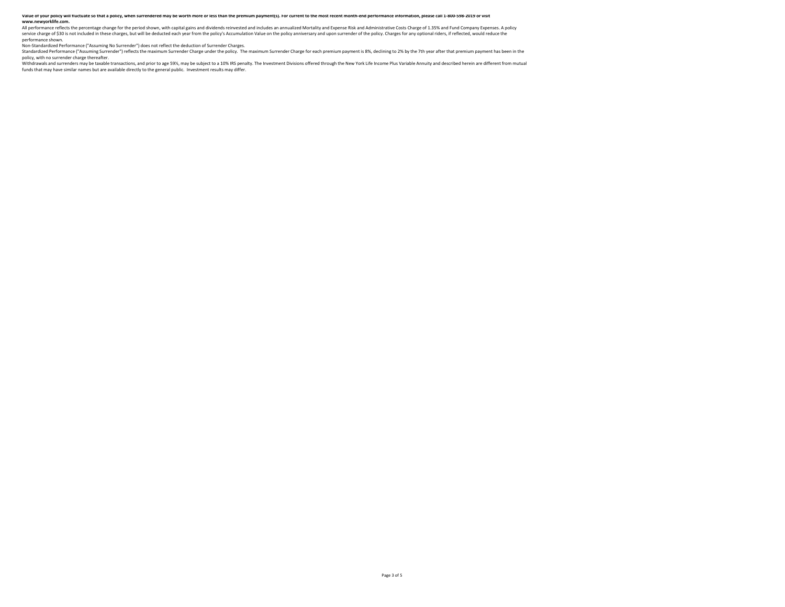## .<br>Value of your policy will fluctuate so that a policy, when surrendered may be worth more or less than the premium payment(s). For current to the most recent month-end performance information, please call 1-800-598-2019 o **www.newyorklife.com.**

All performance reflects the percentage change for the period shown, with capital gains and dividends reinvested and includes an annualized Mortality and Expense Risk and Administrative Costs Charge of 1.35% and Fund Compa service charge of \$30 is not included in these charges, but will be deducted each year from the policy's Accumulation Value on the policy anniversary and upon surrender of the policy. Charges for any optional riders, if re performance shown.

Non-Standardized Performance ("Assuming No Surrender") does not reflect the deduction of Surrender Charges.<br>Standardized Performance ("Assuming Surrender") reflects the maximum Surrender Charge under the policy. The maximu policy, with no surrender charge thereafter.

Withdrawals and surrenders may be taxable transactions, and prior to age 59%, may be subject to a 10% IRS penalty. The Investment Divisions offered through the New York Life Income Plus Variable Annuity and described herei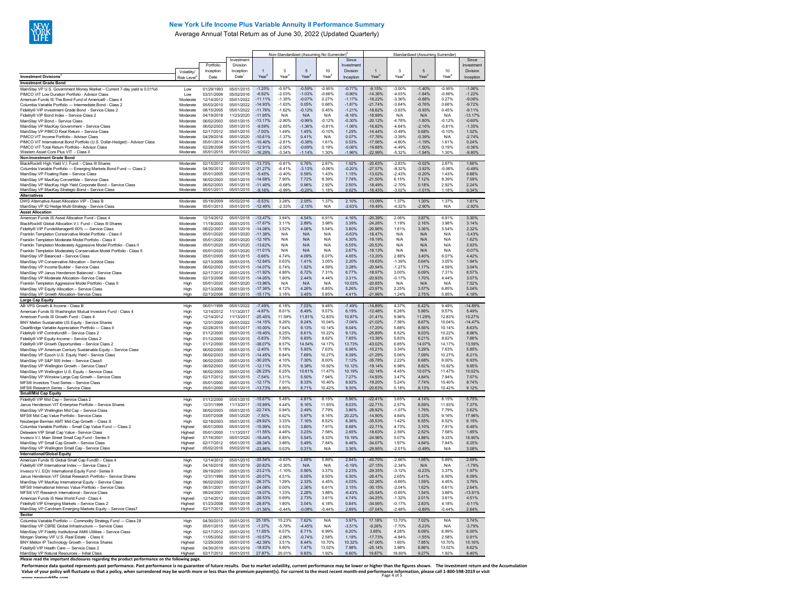

# **New York Life Income Plus Variable Annuity II Performance Summary**

Average Annual Total Return as of June 30, 2022 (Updated Quarterly)

|                                                                                                                                 |                      |                          |                          |                        |                      |                      | Non-Standardized (Assuming No Surrender)* |                      | Standardized (Assuming Surrender) |                      |                      |                      |                       |  |
|---------------------------------------------------------------------------------------------------------------------------------|----------------------|--------------------------|--------------------------|------------------------|----------------------|----------------------|-------------------------------------------|----------------------|-----------------------------------|----------------------|----------------------|----------------------|-----------------------|--|
|                                                                                                                                 |                      | Portfolio                | Investment<br>Division   |                        |                      |                      |                                           | Since<br>Investment  |                                   |                      |                      |                      | Since<br>Investment   |  |
|                                                                                                                                 | Volatility           | Inception                | Inception                |                        | $\mathbf 3$          | 5                    | 10                                        | Division             | $\mathbf{1}$                      | 3                    | 5                    | 10                   | Division              |  |
| <b>Investment Divisions</b>                                                                                                     | <b>Risk Level</b>    | Date                     | Date                     | Year                   | Year                 | Year                 | Year                                      | Inception            | Year                              | Year                 | Year                 | Year                 | Inception             |  |
| <b>Investment Grade Bond</b>                                                                                                    |                      |                          |                          |                        |                      |                      |                                           |                      | $-9.15%$                          |                      |                      |                      | $-1.06%$              |  |
| MainStay VP U.S. Government Money Market - Current 7-day yield is 0.01%6<br>PIMCO VIT Low Duration Portfolio - Advisor Class    | Low<br>$1 \text{ow}$ | 01/29/1993<br>03/31/2006 | 05/01/2015<br>05/02/2016 | $-1.25%$<br>$-6.92%$   | $-0.97%$<br>$-203%$  | $-0.59%$<br>$-1.03%$ | $-0.95%$<br>$-0.66%$                      | $-0.77%$<br>$-0.90%$ | $-14.36%$                         | $-3.00%$<br>-4 03%   | $-1.40%$<br>$-1.84%$ | $-0.95%$<br>$-0.66%$ | $-122%$               |  |
| American Funds IS The Bond Fund of America® - Class 4                                                                           | Moderate             | 12/14/2012               | 05/01/2022               | $-11.11%$              | $-1.35%$             | $-0.07%$             | 0.27%                                     | $-1.17%$             | $-18.22%$                         | $-3.36%$             | $-0.88%$             | 0.27%                | $-9.08%$              |  |
| Columbia Variable Portfolio - Intermediate Bond - Class 2                                                                       | Moderate             | 05/03/2010               | 05/01/2022               | $-14.93%$              | $-163%$              | 0.05%                | 0.66%                                     | $-1.87%$             | $-21.74%$                         | $-364%$              | $-0.76%$             | 0.66%                | $-9.72%$              |  |
| Fidelity® VIP Investment Grade Bond - Service Class 2                                                                           | Moderate<br>Moderate | 08/15/2005<br>04/19/2018 | 05/01/2022<br>11/23/2020 | $-11.76%$<br>$-11.95%$ | $-1.62%$<br>N/A      | $-0.12%$<br>N/A      | 0.45%<br>N/A                              | $-1.21%$<br>$-9.16%$ | $-18.82%$<br>$-18.99%$            | $-3.63%$<br>N/A      | $-0.93%$<br>N/A      | 0.45%<br>N/A         | $-9.11%$<br>$-13.17%$ |  |
| Fidelity® VIP Bond Index - Service Class 2<br>MainStav VP Bond - Service Class                                                  | Moderate             | 06/02/2003               | 05/01/2015               | $-13.17%$              | $-2.80%$             | $-0.99%$             | $-0.12%$                                  | $-0.30%$             | $-20.12%$                         | -4.78%               | $-1.80%$             | $-0.12%$             | $-0.60%$              |  |
| MainStav VP MacKav Government - Service Class                                                                                   | Moderate             | 06/02/2003               | 05/01/2015               | $-9.59%$               | $-2.65%$             | $-1.36%$             | $-0.81%$                                  | $-1.06%$             | $-16.82%$                         | $-4.64%$             | $-2.16%$             | $-0.81%$             | $-1.35%$              |  |
| MainStav VP PIMCO Real Return - Service Class                                                                                   | Moderate             | 02/17/2012               | 05/01/2015               | $-7.00%$               | 1.49%                | 1.45%                | $-0.10%$                                  | 1.29%                | $-14.44%$                         | $-0.49%$             | 0.68%                | $-0.10%$             | 1.02%                 |  |
| PIMCO VIT Income Portfolio - Advisor Class                                                                                      | Moderate             | 04/29/2016               | 05/01/2020               | $-10.61%$<br>$-10.40%$ | $-1.37%$<br>$-281%$  | 0.41%<br>$-0.38%$    | N/A<br>161%                               | 0.07%<br>0.53%       | $-17.76%$<br>$-17.56%$            | $-3.39%$<br>$-480%$  | $-0.39%$<br>$-1.19%$ | N/A<br>161%          | $-2.74%$<br>0.24%     |  |
| PIMCO VIT International Bond Portfolio (U.S. Dollar-Hedged) - Advisor Class<br>PIMCO VIT Total Return Portfolio - Advisor Class | Moderate<br>Moderate | 05/01/2014<br>02/28/2006 | 05/01/2015<br>05/01/2015 | $-12.91%$              | $-2.50%$             | $-0.69%$             | 0.19%                                     | $-0.06%$             | $-19.88%$                         | -4 49%               | $-1.50%$             | 0.19%                | $-0.36%$              |  |
| Western Asset Core Plus VIT - Class II                                                                                          | Moderate             | 05/01/2015               | 05/01/2022               | $-16.29%$              | $-3.34%$             | $-1.14%$             | 1 30%                                     | $-1.96%$             | $-2299%$                          | $-5.32%$             | $-1.94%$             | 1 30%                | $-9.80%$              |  |
| Non-Investment Grade Bond                                                                                                       |                      |                          |                          |                        |                      |                      |                                           |                      |                                   |                      |                      |                      |                       |  |
| BlackRock® High Yield V.I. Fund - Class III Shares<br>Columbia Variable Portfolio - Emerging Markets Bond Fund - Class 2        | Moderate<br>Moderate | 02/15/2012<br>04/30/2012 | 05/01/2015<br>05/01/2015 | $-13.73%$<br>$-21.27%$ | $-0.81%$<br>$-6.41%$ | 0.76%<br>$-3.13%$    | 2.87%<br>$-0.06%$                         | 1.92%<br>$-0.20%$    | $-20.63%$<br>$-27.57%$            | $-2.83%$<br>$-8.32%$ | $-0.02%$<br>$-3.92%$ | 2.87%<br>$-0.06%$    | 1.66%<br>$-0.49%$     |  |
| MainStay VP Floating Rate - Service Class                                                                                       | Moderate             | 05/01/2005               | 05/01/2015               | $-5.45%$               | $-0.40%$             | 0.59%                | 1.43%                                     | 1.15%                | $-13.02%$                         | $-2.43%$             | $-0.20%$             | 1.43%                | 0.88%                 |  |
| MainStay VP MacKay Convertible - Service Class                                                                                  | Moderate             | 06/02/2003               | 05/01/2015               | $-14.68%$              | 7.90%                | 7.72%                | 8.39%                                     | 7.78%                | $-21.50%$                         | 6.15%                | 7.12%                | 8.39%                | 7.59%                 |  |
| MainStay VP MacKay High Yield Corporate Bond - Service Class                                                                    | Moderate             | CR/02/2003               | 05/01/2015               | $-1140%$               | $-0.68%$             | 0.96%                | 2.92%                                     | 2.50%                | $-1849%$                          | $-270%$              | 0.18%                | 292%                 | 224%                  |  |
| MainStay VP MacKay Strategic Bond - Service Class<br><b>Alternatives</b>                                                        | Moderate             | 05/01/2011               | 05/01/2015               | $-9.16%$               | $-0.999$             | $-0.209$             | 1 18%                                     | 0.62%                | $-16.439$                         | $-3.02%$             | $-1.01%$             | 1 18%                | 0.34%                 |  |
| DWS Alternative Asset Allocation VIP - Class B                                                                                  | Moderate             | 05/18/2009               | 05/02/2016               | $-5.53%$               | 3.28%                | 2.05%                | 1.37%                                     | 2.10%                | $-13.09%$                         | 1.37%                | 1.30%                | 1.37%                | 1.81%                 |  |
| MainStay VP IQ Hedge Multi-Strategy - Service Class                                                                             | Moderate             | 05/01/2013               | 05/01/2015               | $-12.499$              | $-2.339$             | $-2.10%$             | N/A                                       | $-2.63%$             | $-19.49%$                         | $-4.329$             | $-2.90%$             | N/A                  | $-2.92%$              |  |
| <b>Asset Allocation</b>                                                                                                         |                      |                          |                          |                        |                      |                      |                                           |                      |                                   |                      |                      |                      |                       |  |
| American Funds IS Asset Allocation Fund - Class 4                                                                               | Moderate             | 12/14/2012               | 05/01/2018               | $-13.47%$              | 3.94%<br>3.11%       | 4.54%                | 6.91%<br>3.98%                            | 4.16%                | $-20.39%$<br>$-24.26%$            | 2.06%<br>1.19%       | 3.87%<br>2.16%       | 6.91%<br>3.98%       | 3.30%<br>3.14%        |  |
| BlackRock® Global Allocation V.I. Fund - Class III Shares<br>Fidelitv® VIP FundsManager® 60% - Service Class                    | Moderate<br>Moderate | 11/18/2003<br>08/22/2007 | 05/01/2015<br>05/01/2019 | $-17.67%$<br>$-14.08%$ | 3.52%                | 2.89%<br>4.06%       | 5.54%                                     | 3.39%<br>3.80%       | $-20.96%$                         | 1.61%                | 3.36%                | 5.54%                | 2.32%                 |  |
| Franklin Templeton Conservative Model Portfolio - Class II                                                                      | Moderate             | 05/01/2020               | 05/01/2020               | $-11.38%$              | N/A                  | N/A                  | N/A                                       | $-0.63%$             | $-18.47%$                         | N/A                  | N/A                  | N/A                  | $-3.43%$              |  |
| Franklin Templeton Moderate Model Portfolio - Class II                                                                          | Moderate             | 05/01/2020               | 05/01/2020               | $-12.16%$              | N/A                  | N/A                  | N/A                                       | 4.30%                | $-19.19%$                         | N/A                  | N/A                  | N/A                  | 1.62%                 |  |
| Franklin Templeton Moderately Aggressive Model Portfolio - Class II                                                             | Moderate             | 05/01/2020               | 05/01/2020               | $-13.62%$              | N/A                  | N/A                  | N/A                                       | 6.55%                | $-20.53%$                         | N/A                  | N/A                  | N/A                  | 3.93%                 |  |
| Franklin Templeton Moderately Conservative Model Portfolio - Class II<br>MainStay VP Balanced - Service Class                   | Moderate<br>Moderate | 05/01/2020<br>05/01/2005 | 05/01/2020<br>05/01/2015 | $-11.01%$<br>$-5.66%$  | N/A<br>4.74%         | N/A<br>4.09%         | N/A<br>6.07%                              | 2.67%<br>4.65%       | $-18.13%$<br>$-13.20%$            | N/A<br>2.88%         | N/A<br>3.40%         | N/A<br>6.07%         | $-0.07%$<br>4.42%     |  |
| MainStay VP Conservative Allocation - Service Class                                                                             | Moderate             | 02/13/2006               | 05/01/2015               | $-1264%$               | 0.63%                | 141%                 | 3.05%                                     | 2.20%                | $-1963%$                          | $-1.39%$             | 0.64%                | 3 0 5%               | 1.94%                 |  |
| MainStay VP Income Builder - Service Class                                                                                      | Moderate             | 06/02/2003               | 05/01/2015               | $-14.07%$              | 0.74%                | 1.92%                | 4.59%                                     | 3.28%                | $-20.94%$                         | $-1.27%$             | 1.17%                | 4.59%                | 3.04%                 |  |
| MainStay VP Janus Henderson Balanced - Service Class                                                                            | Moderate             | 02/17/2012               | 05/01/2015               | $-11.92%$              | 4.86%                | 6.72%                | 7.31%                                     | 6.77%                | $-18.97%$                         | 3.00%                | 6.09%                | 7.31%                | 6.57%                 |  |
| MainStav VP Moderate Allocation-Service Class                                                                                   | Moderate             | 02/13/2006               | 05/01/2015               | $-14.05%$<br>$-13.96%$ | 1.80%                | 2.44%<br>N/A         | 4.44%<br>N/A                              | 3.31%<br>10.03%      | -20.93%<br>$-20.85%$              | $-0.17%$             | 1.70%                | 4.44%<br>N/A         | 3.07%<br>7.52%        |  |
| Franklin Templeton Aggressive Model Portfolio - Class II<br>MainStay VP Equity Allocation - Service Class                       | High<br>High         | 05/01/2020<br>02/13/2006 | 05/01/2020<br>05/01/2015 | $-17.36%$              | N/A<br>4.12%         | 4.26%                | 6.85%                                     | 5.26%                | $-23.97%$                         | N/A<br>2.25%         | N/A<br>3.57%         | 6.85%                | 5.04%                 |  |
| MainStay VP Growth Allocation-Service Class                                                                                     | High                 | 02/13/2006               | 05/01/2015               | $-15.17%$              | 3.16%                | 3.45%                | 5.85%                                     | 4 4 1%               | $-21.96%$                         | 1.24%                | 2.75%                | 5.85%                | 4.18%                 |  |
| <b>Large Cap Equity</b>                                                                                                         |                      |                          |                          |                        |                      |                      |                                           |                      |                                   |                      |                      |                      |                       |  |
| AB VPS Growth & Income - Class B                                                                                                | High                 | 06/01/1999               | 05/01/2022               | $-7.49%$               | 6.18%                | 7.03%                | 9.48%                                     | $-7.49%$             | $-14.89%$                         | 4.37%                | 6.42%                | 9.48%                | $-14.89%$             |  |
| American Funds IS Washington Mutual Investors Fund - Class 4<br>American Funds IS Growth Fund - Class 4                         | High<br>High         | 12/14/2012<br>12/14/2012 | 11/13/2017<br>11/13/2017 | -487%<br>$-25.45%$     | 8.01%<br>11.59%      | 6.49%<br>11.81%      | 9.57%<br>12.83%                           | 6.19%<br>10.87%      | $-1248%$<br>$-31.41%$             | 6.26%<br>9.96%       | 5.86%<br>11.29%      | 9.57%<br>1283%       | 549%<br>10.27%        |  |
| BNY Mellon Sustainable US Equity - Service Shares                                                                               | High                 | 12/31/2000               | 05/01/2022               | $-14.15%$              | 9.26%                | 9.24%                | 10.04%                                    | $-7.04%$             | $-21.02%$                         | 7.56%                | 8.67%                | 10.04%               | $-14.47%$             |  |
| ClearBridge Variable Appreciation Portfolio - Class II                                                                          | High                 | 02/28/2015               | 05/01/2017               | $-10.00%$              | 7.64%                | 9.13%                | 10.14%                                    | 9.04%                | $-17.20%$                         | 5.88%                | 8.56%                | 10.14%               | 8.63%                 |  |
| Fidelitv® VIP Contrafund® - Service Class 2                                                                                     | High                 | 01/12/2000               | 05/01/2015               | $-19.45%$              | 8.25%                | 8.61%                | 10.22%                                    | 9.13%                | $-25.89%$                         | 6.52%                | 8.03%                | 10.22%               | 8.96%                 |  |
| Fidelity® VIP Equity-Income - Service Class 2                                                                                   | High                 | 01/12/2000               | 05/01/2015               | $-583%$                | 759%                 | 683%                 | 8.62%                                     | 785%                 | $-13.36%$                         | 583%                 | 621%                 | 862%                 | 766%                  |  |
| Fidelity® VIP Growth Opportunities - Service Class 2<br>MainStay VP American Century Sustainable Equity - Service Class         | High<br>High         | 01/12/2000<br>06/02/2003 | 05/01/2015<br>05/01/2015 | $-38.07%$<br>$-2.40%$  | 8.57%<br>5.18%       | 14.54%<br>5.93%      | 14.17%<br>7.63%                           | 13.73%<br>6.06%      | -43.02%<br>$-10.21%$              | 6.85%<br>3.34%       | 14.07%<br>5.29%      | 14.17%<br>7.63%      | 13.59%<br>5.85%       |  |
| MainStav VP Epoch U.S. Equity Yield - Service Class                                                                             | High                 | 06/02/2003               | 05/01/2015               | $-14.45%$              | 6.84%                | 7.69%                | 10.27%                                    | 8.39%                | $-21.29%$                         | 5.06%                | 7.09%                | 10.27%               | 8.21%                 |  |
| MainStav VP S&P 500 Index - Service Class5                                                                                      | High                 | 06/02/2003               | 05/01/2015               | $-30.20%$              | 4.10%                | 7.30%                | 8.00%                                     | 7.12%                | $-35.78%$                         | 2.22%                | 6.68%                | 8.00%                | 6.93%                 |  |
| MainStay VP Wellington Growth - Service Class7                                                                                  | High                 | 06/02/2003               | 05/01/2015               | $-12.11%$              | 8.70%                | 9.38%                | 10.92%                                    | 10.12%               | $-19.14%$                         | 6.98%                | 8.82%                | 10.92%               | 9.95%                 |  |
| MainStay VP Wellington U.S. Equity - Service Class<br>MainStay VP Winslow Large Cap Growth - Service Class                      | High                 | 06/02/2003<br>02/17/2012 | 05/01/2015               | $-26.23%$<br>$-7.54%$  | 6.25%<br>5.31%       | 10.61%<br>5.50%      | 11.47%<br>7.94%                           | 10.19%<br>7.27%      | $-32.14%$<br>$-14.93%$            | 4.45%<br>3.47%       | 10.07%<br>4.84%      | 11.47%<br>7.94%      | 10.02%<br>7.07%       |  |
| MFS® Investors Trust Series - Service Class                                                                                     | High<br>High         | 05/01/2000               | 05/01/2015<br>05/01/2015 | $-12.17%$              | 7.01%                | 8.33%                | 10.40%                                    | 8.92%                | $-19.20%$                         | 5.24%                | 7.74%                | 10.40%               | 8.74%                 |  |
| MFS® Research Series - Service Class                                                                                            | High                 | 05/01/2000               | 05/01/2015               | $-1373%$               | 6.96%                | 8 7 1%               | 10 4 2 %                                  | 9.30%                | $-2063%$                          | 5 1 8%               | 8 1 3%               | 10 42%               | 9 1 2 %               |  |
| <b>Small/Mid Cap Equity</b>                                                                                                     |                      |                          |                          |                        |                      |                      |                                           |                      |                                   |                      |                      |                      |                       |  |
| Fidelity® VIP Mid Cap - Service Class 2                                                                                         | High                 | 01/12/2000               | 05/01/2015               | $-15.67%$              | 5.48%                | 4.81%                | 8.15%                                     | 5.96%                | $-22.41%$                         | 3.65%                | 4.14%                | 8.15%                | 5.75%                 |  |
| Janus Henderson VIT Enterprise Portfolio - Service Shares<br>MainStay VP Wellington Mid Cap - Service Class                     | High<br>High         | 12/31/1999<br>06/02/2003 | 11/13/2017<br>05/01/2015 | $-15.99%$<br>$-2274%$  | 4.44%<br>0.94%       | 9.16%<br>249%        | 11.93%<br>7 7 9%                          | 8.03%<br>386%        | $-22.71%$<br>$-28.92%$            | 2.57%<br>$-1.07%$    | 8.59%<br>176%        | 11.93%<br>7 7 9%     | 7.37%<br>362%         |  |
| MFS® Mid Cap Value Portfolio - Service Class                                                                                    | High                 | 03/07/2008               | 05/01/2020               | $-7.50%$               | 6.62%                | 5.97%                | 9.16%                                     | 20.22%               | $-14.90%$                         | 4.84%                | 5.33%                | 9.16%                | 17.96%                |  |
| Neuberger Berman AMT Mid-Cap Growth - Class S                                                                                   | High                 | 02/18/2003               | 05/01/2015               | $-29.92%$              | 3.33%                | 7.16%                | 8.52%                                     | 6.36%                | -35.53%                           | 1.42%                | 6.55%                | 8.52%                | 6.15%                 |  |
| Columbia Variable Portfolio - Small Cap Value Fund - Class 2                                                                    | Highest              | 06/01/2000               | 05/01/2015               | $-15.99%$              | 6.53%                | 3.80%                | 7.91%                                     | 6.68%                | $-22.71%$                         | 4.73%                | 3.10%                | 7.91%                | 6.48%                 |  |
| Delaware VIP Small Cap Value - Service Class                                                                                    | Highest              | 05/01/2000<br>07/16/2001 | 11/13/2017<br>05/01/2020 | $-11.55%$<br>$-18.44%$ | 4.46%<br>6.85%       | 3.23%<br>5.54%       | 7.58%<br>9.33%                            | 2.65%<br>19.19%      | $-18.63%$<br>$-24.96%$            | 2.59%<br>5.07%       | 2.52%<br>4.88%       | 7.58%<br>9.33%       | 1.85%<br>16.90%       |  |
| Invesco V.I. Main Street Small Cap Fund - Series II<br>MainStay VP Small Cap Growth - Service Class                             | Highest<br>Highest   | 02/17/2012               | 05/01/2015               | $-28.34%$              | 3.86%                | 5.49%                | 7.84%                                     | 6.46%                | $-34.07%$                         | 1.97%                | 4.84%                | 7.84%                | 6.25%                 |  |
| MainStay VP Wellington Small Cap - Service Class                                                                                | Highest              | 05/02/2016               | 05/02/2016               | $-23.86%$              | 0.03%                | 0.31%                | N/A                                       | 3.36%                | $-29.95%$                         | $-2.01%$             | $-0.49%$             | N/A                  | 3.08%                 |  |
| International/Global Equity                                                                                                     |                      |                          |                          |                        |                      |                      |                                           |                      |                                   |                      |                      |                      |                       |  |
| American Funds IS Global Small Cap Fund® - Class 4                                                                              | High                 | 12/14/2012               | 05/01/2015               | $-35.54%$              | -0.63%               | 2.68%                | 5.89%                                     | 2.94%                | $-40.70%$                         | $-266%$              | 1.95%                | 5,89%                | 2.69%                 |  |
| Fidelity® VIP International Index - Service Class 2<br>Invesco V.I. EQV International Equity Fund - Series II                   | High<br>High         | 04/16/2018<br>09/19/2001 | 05/01/2019<br>05/01/2015 | $-20.82%$<br>$-23.21%$ | $-0.30%$<br>$-1.10%$ | N/A<br>0.56%         | N/A<br>3.37%                              | $-0.19%$<br>2.23%    | $-27.15%$<br>$-29.35%$            | $-2.34%$<br>$-3.12%$ | N/A<br>$-0.23%$      | N/A<br>3.37%         | $-1.79%$<br>1.97%     |  |
| Janus Henderson VIT Global Research Portfolio - Service Shares                                                                  | High                 | 12/31/1999               | 05/01/2015               | $-20.07%$              | 4.51%                | 6.05%                | 8.50%                                     | 6.30%                | $-26.47%$                         | 2.65%                | 5.41%                | 8.50%                | 6.09%                 |  |
| MainStay VP MacKay International Equity - Service Class                                                                         | High                 | 06/02/2003               | 05/01/2015               | $-26.37%$              | 1.29%                | 2.33%                | 4.45%                                     | 4.03%                | $-32.26%$                         | $-0.69%$             | 1.59%                | 4.45%                | 3.79%                 |  |
| MFS® International Intrinsic Value Portfolio - Service Class                                                                    | High                 | 08/31/2001               | 05/01/2017               | $-24.08%$              | 0.00%                | 2.36%                | 661%                                      | 3.15%                | $-30.15%$                         | $-204%$              | 1.62%                | 661%                 | 264%                  |  |
| MFS® VIT Research International - Service Class                                                                                 | High                 | 08/24/2001<br>12/14/2012 | 05/01/2022<br>05/01/2015 | $-19.07%$<br>$-28.53%$ | 1.33%<br>0.69%       | 2.28%<br>2.73%       | 3.88%                                     | $-6.43%$<br>4.74%    | $-25.54%$<br>$-34.25%$            | $-0.65%$<br>$-1.32%$ | 1.54%<br>2.01%       | 3.88%<br>3.61%       | 13.91%<br>4.51%       |  |
| American Funds IS New World Fund - Class 4<br>Fidelity® VIP Emerging Markets - Service Class 2                                  | Highest<br>Highest   | 01/23/2008               | 05/01/2018               | $-28.87%$              | 1.80%                | 3.54%                | 3.61%<br>4.18%                            | 0.84%                | $-34.56%$                         | $-0.17%$             | 2.83%                | 4.18%                | $-0.11%$              |  |
| MainStay VP Candriam Emerging Markets Equity - Service Class7                                                                   | Highest              | 02/17/2012               | 05/01/2015               | $-31.56%$              | $-0.44%$             | $-0.08%$             | $-0.44%$                                  | 2.89%                | $-37.04%$                         | $-2.48%$             | $-0.89%$             | $-0.44%$             | 2.64%                 |  |
| Sector                                                                                                                          |                      |                          |                          |                        |                      |                      |                                           |                      |                                   |                      |                      |                      |                       |  |
| Columbia Variable Portfolio - Commodity Strategy Fund - Class 28                                                                | High                 | 04/30/2013               | 05/01/2015               | 25.18%                 | 15.23%               | 7.62%                | N/A                                       | 3.97%                | 17.18%                            | 13.70%               | 7.02%                | N/A                  | 3.74%                 |  |
| MainStay VP CBRE Global Infrastructure - Service Class                                                                          | High                 | 05/01/2015               | 05/01/2015               | $-1.37%$<br>11.65%     | $-5.78%$<br>6.07%    | $-4.45%$<br>6.71%    | N/A<br>6.99%                              | $-3.51%$<br>6.20%    | $-9.26%$<br>3.65%                 | $-7.70%$<br>4.26%    | $-5.23%$<br>6.09%    | N/A<br>6.99%         | $-3.79%$<br>6.00%     |  |
| MainStay VP Fidelity Institutional AM® Utilities - Service Class<br>Morgan Stanley VIF U.S. Real Estate - Class II              | High<br>High         | 02/17/2012<br>11/05/2002 | 05/01/2015<br>05/01/2015 | $-10.57%$              | $-2.86%$             | $-0.74%$             | 2.58%                                     | 1.18%                | $-17.73%$                         | -4 84%               | $-1.55%$             | 2.58%                | 0.91%                 |  |
| BNY Mellon IP Technology Growth - Service Shares                                                                                | Highest              | 12/29/2000               | 05/01/2015               | $-42.39%$              | 3.51%                | 8.44%                | 10.70%                                    | 10.32%               | -47.00%                           | 1.60%                | 7.85%                | 10.70%               | 10.16%                |  |
| Fidelitv® VIP Health Care - Service Class 2                                                                                     | Highest              | 04/30/2019               | 05/01/2019               | $-18.63%$              | 5.80%                | 7.47%                | 13.02%                                    | 7.98%                | $-25.14%$                         | 3.98%                | 6.86%                | 13.02%               | 6.62%                 |  |
| MainStav VP Natural Resources - Initial Class                                                                                   | Highest              | 02/17/2012               | 05/01/2015               | 27 87%                 | 20.01%               | 983%                 | 1 92%                                     | 6.60%                | 1987%                             | 18.60%               | 9.27%                | 1 92%                | 640%                  |  |
| Please read the important disclosures regarding the product performance on the following page                                   |                      |                          |                          |                        |                      |                      |                                           |                      |                                   |                      |                      |                      |                       |  |

Performance data quoted represents past performance. Past performance is no guarantee of future results. Due to market volatility, current performance may be lower or higher than the figures shown. The investment return an Value of your policy will fluctuate so that a policy, when surrendered may be worth more or less than the premium payment(s). For current to the most recent month-end performance information, please call 1-800-598-2019 or